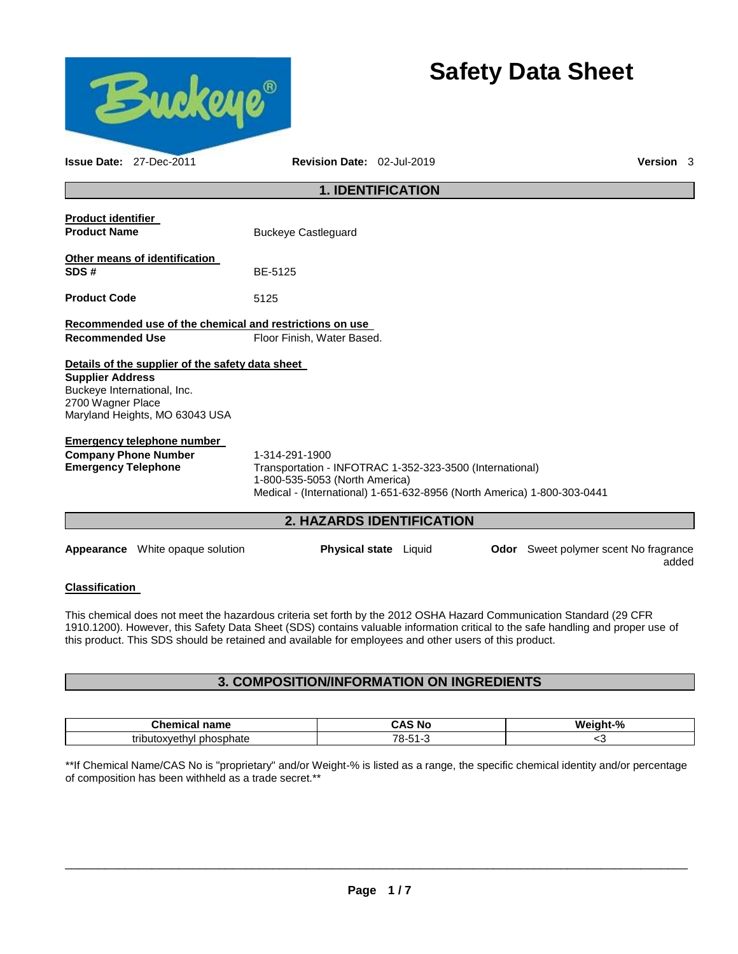

# **Safety Data Sheet**

added

| <b>Issue Date: 27-Dec-2011</b>                          | Revision Date: 02-Jul-2019                                                                                                                                            | Version 3                                    |  |
|---------------------------------------------------------|-----------------------------------------------------------------------------------------------------------------------------------------------------------------------|----------------------------------------------|--|
|                                                         | <b>1. IDENTIFICATION</b>                                                                                                                                              |                                              |  |
| <b>Product identifier</b>                               |                                                                                                                                                                       |                                              |  |
| <b>Product Name</b>                                     | <b>Buckeye Castleguard</b>                                                                                                                                            |                                              |  |
| Other means of identification<br>SDS#                   | BE-5125                                                                                                                                                               |                                              |  |
| <b>Product Code</b>                                     | 5125                                                                                                                                                                  |                                              |  |
| Recommended use of the chemical and restrictions on use |                                                                                                                                                                       |                                              |  |
| <b>Recommended Use</b>                                  | Floor Finish, Water Based.                                                                                                                                            |                                              |  |
| Details of the supplier of the safety data sheet        |                                                                                                                                                                       |                                              |  |
| <b>Supplier Address</b>                                 |                                                                                                                                                                       |                                              |  |
| Buckeye International, Inc.                             |                                                                                                                                                                       |                                              |  |
| 2700 Wagner Place<br>Maryland Heights, MO 63043 USA     |                                                                                                                                                                       |                                              |  |
| <b>Emergency telephone number</b>                       |                                                                                                                                                                       |                                              |  |
| <b>Company Phone Number</b>                             | 1-314-291-1900                                                                                                                                                        |                                              |  |
| <b>Emergency Telephone</b>                              | Transportation - INFOTRAC 1-352-323-3500 (International)<br>1-800-535-5053 (North America)<br>Medical - (International) 1-651-632-8956 (North America) 1-800-303-0441 |                                              |  |
|                                                         | <b>2. HAZARDS IDENTIFICATION</b>                                                                                                                                      |                                              |  |
| <b>Appearance</b> White opaque solution                 | <b>Physical state</b> Liquid                                                                                                                                          | <b>Odor</b> Sweet polymer scent No fragrance |  |

## **Classification**

This chemical does not meet the hazardous criteria set forth by the 2012 OSHA Hazard Communication Standard (29 CFR 1910.1200). However, this Safety Data Sheet (SDS) contains valuable information critical to the safe handling and proper use of this product. This SDS should be retained and available for employees and other users of this product.

# **3. COMPOSITION/INFORMATION ON INGREDIENTS**

| $\sim$<br>$  -$<br>$-$ - $ -$<br>name | . .<br>. No<br>.                   | n.<br>w.<br>≖<br>70 |
|---------------------------------------|------------------------------------|---------------------|
| مدمدا مرممين<br>ור<br>∵∩ate<br>v      | $\overline{\phantom{a}}$<br><br>~- | ∼                   |

\*\*If Chemical Name/CAS No is "proprietary" and/or Weight-% is listed as a range, the specific chemical identity and/or percentage of composition has been withheld as a trade secret.\*\*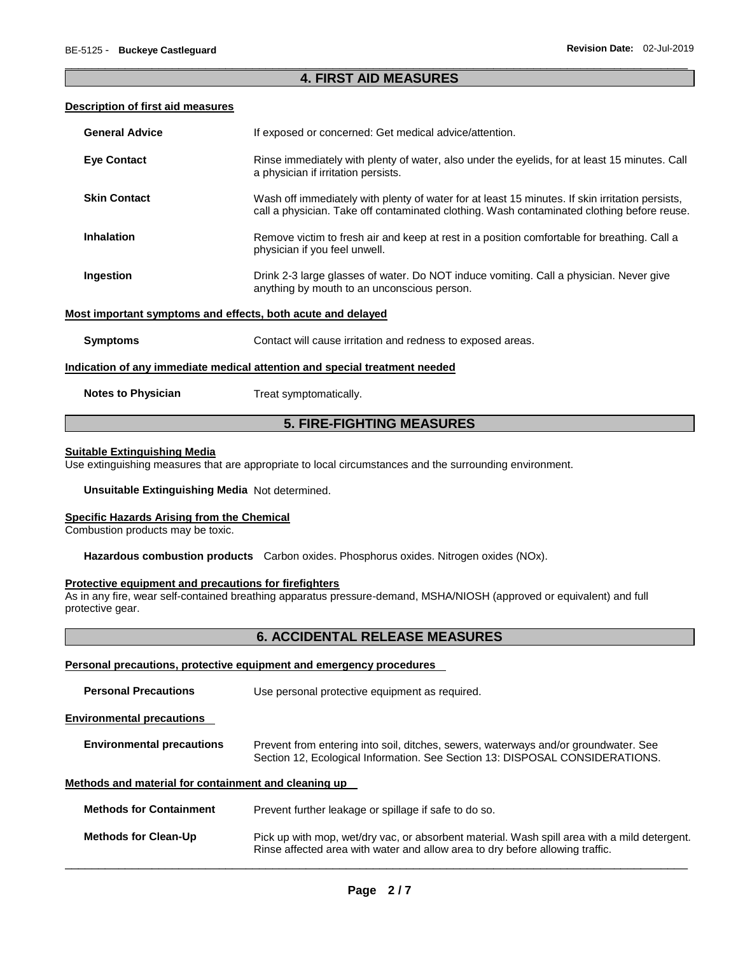#### \_\_\_\_\_\_\_\_\_\_\_\_\_\_\_\_\_\_\_\_\_\_\_\_\_\_\_\_\_\_\_\_\_\_\_\_\_\_\_\_\_\_\_\_\_\_\_\_\_\_\_\_\_\_\_\_\_\_\_\_\_\_\_\_\_\_\_\_\_\_\_\_\_\_\_\_\_\_\_\_\_\_\_\_\_\_\_\_\_\_\_\_\_ **4. FIRST AID MEASURES**

#### **Description of first aid measures**

| <b>General Advice</b>                                                      | If exposed or concerned: Get medical advice/attention.                                                                                                                                        |  |
|----------------------------------------------------------------------------|-----------------------------------------------------------------------------------------------------------------------------------------------------------------------------------------------|--|
| <b>Eye Contact</b>                                                         | Rinse immediately with plenty of water, also under the eyelids, for at least 15 minutes. Call<br>a physician if irritation persists.                                                          |  |
| <b>Skin Contact</b>                                                        | Wash off immediately with plenty of water for at least 15 minutes. If skin irritation persists,<br>call a physician. Take off contaminated clothing. Wash contaminated clothing before reuse. |  |
| <b>Inhalation</b>                                                          | Remove victim to fresh air and keep at rest in a position comfortable for breathing. Call a<br>physician if you feel unwell.                                                                  |  |
| Ingestion                                                                  | Drink 2-3 large glasses of water. Do NOT induce vomiting. Call a physician. Never give<br>anything by mouth to an unconscious person.                                                         |  |
| Most important symptoms and effects, both acute and delayed                |                                                                                                                                                                                               |  |
| <b>Symptoms</b>                                                            | Contact will cause irritation and redness to exposed areas.                                                                                                                                   |  |
| Indication of any immediate medical attention and special treatment needed |                                                                                                                                                                                               |  |
| <b>Notes to Physician</b>                                                  | Treat symptomatically.                                                                                                                                                                        |  |

# **5. FIRE-FIGHTING MEASURES**

#### **Suitable Extinguishing Media**

Use extinguishing measures that are appropriate to local circumstances and the surrounding environment.

#### **Unsuitable Extinguishing Media** Not determined.

#### **Specific Hazards Arising from the Chemical**

Combustion products may be toxic.

**Hazardous combustion products** Carbon oxides. Phosphorus oxides. Nitrogen oxides (NOx).

#### **Protective equipment and precautions for firefighters**

As in any fire, wear self-contained breathing apparatus pressure-demand, MSHA/NIOSH (approved or equivalent) and full protective gear.

# **6. ACCIDENTAL RELEASE MEASURES**

#### **Personal precautions, protective equipment and emergency procedures**

| <b>Personal Precautions</b>      | Use personal protective equipment as required.                                                                                                                      |  |  |
|----------------------------------|---------------------------------------------------------------------------------------------------------------------------------------------------------------------|--|--|
| <b>Environmental precautions</b> |                                                                                                                                                                     |  |  |
| <b>Environmental precautions</b> | Prevent from entering into soil, ditches, sewers, waterways and/or groundwater. See<br>Section 12, Ecological Information. See Section 13: DISPOSAL CONSIDERATIONS. |  |  |

# **Methods and material for containment and cleaning up**

| <b>Methods for Containment</b> | Prevent further leakage or spillage if safe to do so.                                                                                                                         |
|--------------------------------|-------------------------------------------------------------------------------------------------------------------------------------------------------------------------------|
| <b>Methods for Clean-Up</b>    | Pick up with mop, wet/dry vac, or absorbent material. Wash spill area with a mild detergent.<br>Rinse affected area with water and allow area to dry before allowing traffic. |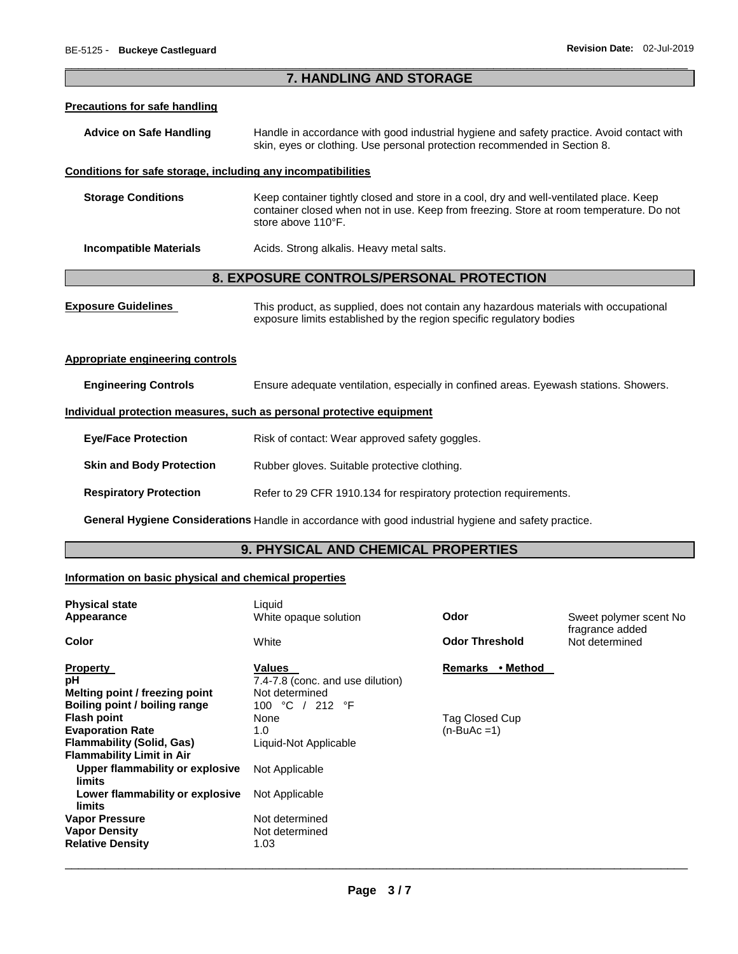### \_\_\_\_\_\_\_\_\_\_\_\_\_\_\_\_\_\_\_\_\_\_\_\_\_\_\_\_\_\_\_\_\_\_\_\_\_\_\_\_\_\_\_\_\_\_\_\_\_\_\_\_\_\_\_\_\_\_\_\_\_\_\_\_\_\_\_\_\_\_\_\_\_\_\_\_\_\_\_\_\_\_\_\_\_\_\_\_\_\_\_\_\_ **7. HANDLING AND STORAGE**

#### **Precautions for safe handling**

| Advice on Safe Handling | Handle in accordance with good industrial hygiene and safety practice. Avoid contact with |
|-------------------------|-------------------------------------------------------------------------------------------|
|                         | skin, eyes or clothing. Use personal protection recommended in Section 8.                 |

#### **Conditions for safe storage, including any incompatibilities**

| <b>Storage Conditions</b> | Keep container tightly closed and store in a cool, dry and well-ventilated place. Keep<br>container closed when not in use. Keep from freezing. Store at room temperature. Do not<br>store above 110°F. |
|---------------------------|---------------------------------------------------------------------------------------------------------------------------------------------------------------------------------------------------------|
|                           |                                                                                                                                                                                                         |

# **Incompatible Materials Acids. Strong alkalis. Heavy metal salts.**

# **8. EXPOSURE CONTROLS/PERSONAL PROTECTION**

| <b>Exposure Guidelines</b> | This product, as supplied, does not contain any hazardous materials with occupational |
|----------------------------|---------------------------------------------------------------------------------------|
|                            | exposure limits established by the region specific regulatory bodies                  |

#### **Appropriate engineering controls**

**Engineering Controls** Ensure adequate ventilation, especially in confined areas. Eyewash stations. Showers.

#### **Individual protection measures, such as personal protective equipment**

| <b>Eye/Face Protection</b> | Risk of contact: Wear approved safety goggles. |
|----------------------------|------------------------------------------------|
|----------------------------|------------------------------------------------|

# **Skin and Body Protection** Rubber gloves. Suitable protective clothing.

**Respiratory Protection Refer to 29 CFR 1910.134 for respiratory protection requirements.** 

**General Hygiene Considerations** Handle in accordance with good industrial hygiene and safety practice.

# **9. PHYSICAL AND CHEMICAL PROPERTIES**

#### **Information on basic physical and chemical properties**

| <b>Physical state</b><br>Appearance                                                                            | Liquid<br>White opaque solution                                                         | Odor                           | Sweet polymer scent No<br>fragrance added |
|----------------------------------------------------------------------------------------------------------------|-----------------------------------------------------------------------------------------|--------------------------------|-------------------------------------------|
| Color                                                                                                          | White                                                                                   | <b>Odor Threshold</b>          | Not determined                            |
| <b>Property</b><br>рH<br>Melting point / freezing point<br>Boiling point / boiling range                       | <b>Values</b><br>7.4-7.8 (conc. and use dilution)<br>Not determined<br>100 °C<br>212 °F | <b>Remarks</b><br>• Method     |                                           |
| <b>Flash point</b><br><b>Evaporation Rate</b><br>Flammability (Solid, Gas)<br><b>Flammability Limit in Air</b> | None<br>1.0<br>Liquid-Not Applicable                                                    | Tag Closed Cup<br>$(n-BuAc=1)$ |                                           |
| Upper flammability or explosive<br>limits                                                                      | Not Applicable                                                                          |                                |                                           |
| Lower flammability or explosive<br>limits                                                                      | Not Applicable                                                                          |                                |                                           |
| <b>Vapor Pressure</b><br><b>Vapor Density</b><br><b>Relative Density</b>                                       | Not determined<br>Not determined<br>1.03                                                |                                |                                           |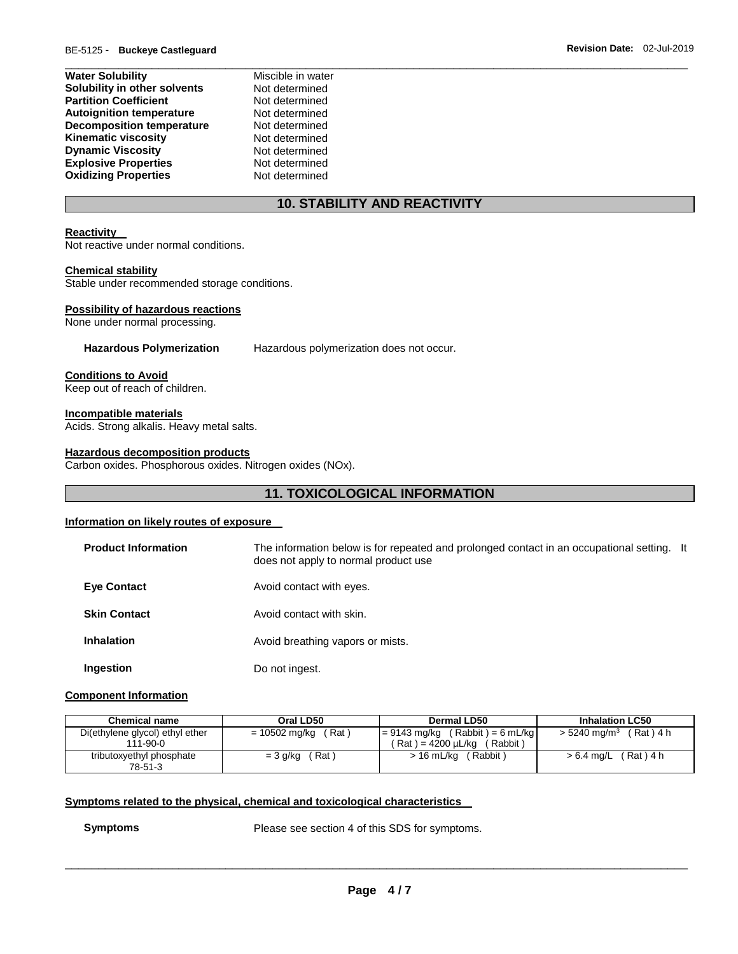| <b>Water Solubility</b>          | Miscible in water |
|----------------------------------|-------------------|
| Solubility in other solvents     | Not determined    |
| <b>Partition Coefficient</b>     | Not determined    |
| <b>Autoignition temperature</b>  | Not determined    |
| <b>Decomposition temperature</b> | Not determined    |
| <b>Kinematic viscosity</b>       | Not determined    |
| <b>Dynamic Viscosity</b>         | Not determined    |
| <b>Explosive Properties</b>      | Not determined    |
| <b>Oxidizing Properties</b>      | Not determined    |

# **10. STABILITY AND REACTIVITY**

#### **Reactivity**

Not reactive under normal conditions.

#### **Chemical stability**

Stable under recommended storage conditions.

#### **Possibility of hazardous reactions**

None under normal processing.

**Hazardous Polymerization** Hazardous polymerization does not occur.

**Conditions to Avoid**

Keep out of reach of children.

**Incompatible materials**

Acids. Strong alkalis. Heavy metal salts.

#### **Hazardous decomposition products**

Carbon oxides. Phosphorous oxides. Nitrogen oxides (NOx).

# **11. TOXICOLOGICAL INFORMATION**

#### **Information on likely routes of exposure**

| <b>Product Information</b> | The information below is for repeated and prolonged contact in an occupational setting. It<br>does not apply to normal product use |  |
|----------------------------|------------------------------------------------------------------------------------------------------------------------------------|--|
| <b>Eve Contact</b>         | Avoid contact with eyes.                                                                                                           |  |
| <b>Skin Contact</b>        | Avoid contact with skin.                                                                                                           |  |
| <b>Inhalation</b>          | Avoid breathing vapors or mists.                                                                                                   |  |
| Ingestion                  | Do not ingest.                                                                                                                     |  |

#### **Component Information**

| <b>Chemical name</b>                              | Oral LD50              | Dermal LD50                                                           | <b>Inhalation LC50</b>                   |  |
|---------------------------------------------------|------------------------|-----------------------------------------------------------------------|------------------------------------------|--|
| Di(ethylene glycol) ethyl ether<br>$111 - 90 - 0$ | (Rat)<br>= 10502 mg/kg | $= 9143$ mg/kg (Rabbit) = 6 mL/kg<br>í Rat ) = 4200 uL/kɑ<br>(Rabbit) | $(Rat)$ 4 h<br>$> 5240 \; \text{mq/m}^3$ |  |
| tributoxyethyl phosphate<br>78-51-3               | (Rat)<br>= 3 g/kg      | $>16$ mL/kg<br>(Rabbit)                                               | $> 6.4$ mg/L (Rat) 4 h                   |  |

#### **Symptoms related to the physical, chemical and toxicological characteristics**

**Symptoms** Please see section 4 of this SDS for symptoms.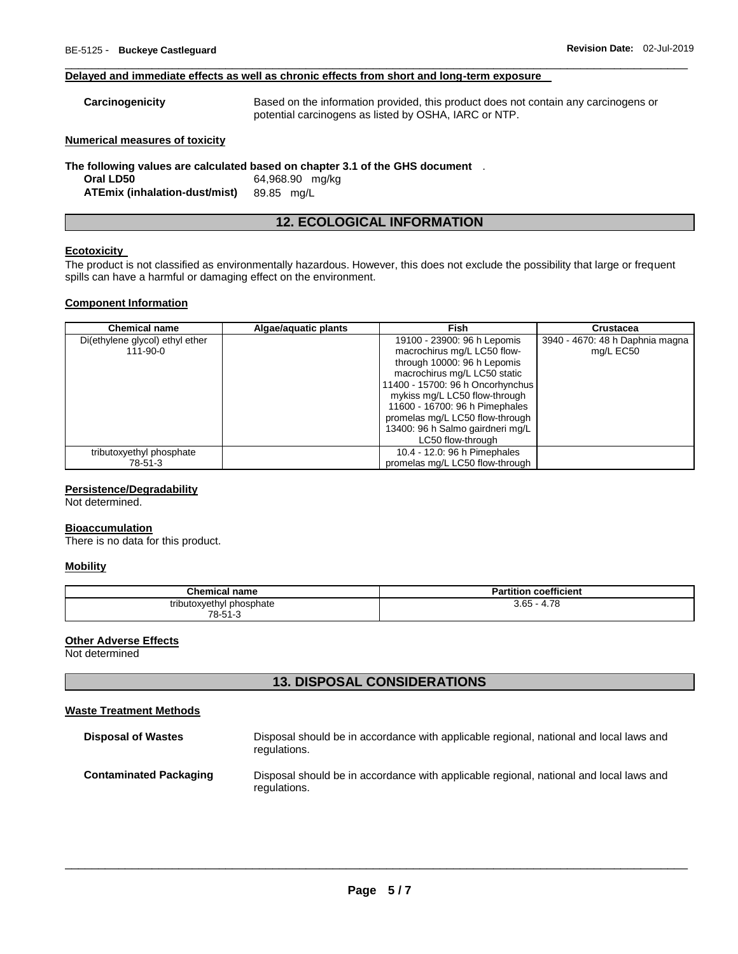#### **Delayed and immediate effects as well as chronic effects from short and long-term exposure**

| Carcinogenicity | Based on the information provided, this product does not contain any carcinogens or |
|-----------------|-------------------------------------------------------------------------------------|
|                 | potential carcinogens as listed by OSHA, IARC or NTP.                               |

\_\_\_\_\_\_\_\_\_\_\_\_\_\_\_\_\_\_\_\_\_\_\_\_\_\_\_\_\_\_\_\_\_\_\_\_\_\_\_\_\_\_\_\_\_\_\_\_\_\_\_\_\_\_\_\_\_\_\_\_\_\_\_\_\_\_\_\_\_\_\_\_\_\_\_\_\_\_\_\_\_\_\_\_\_\_\_\_\_\_\_\_\_

#### **Numerical measures of toxicity**

**The following values are calculated based on chapter 3.1 of the GHS document** . **Oral LD50** 64,968.90 mg/kg **ATEmix (inhalation-dust/mist)** 89.85 mg/L

# **12. ECOLOGICAL INFORMATION**

#### **Ecotoxicity**

The product is not classified as environmentally hazardous. However, this does not exclude the possibility that large or frequent spills can have a harmful or damaging effect on the environment.

#### **Component Information**

| <b>Chemical name</b>            | Algae/aguatic plants | Fish                             | <b>Crustacea</b>                |
|---------------------------------|----------------------|----------------------------------|---------------------------------|
| Di(ethylene glycol) ethyl ether |                      | 19100 - 23900: 96 h Lepomis      | 3940 - 4670: 48 h Daphnia magna |
| $111 - 90 - 0$                  |                      | macrochirus mg/L LC50 flow-      | mg/L EC50                       |
|                                 |                      | through 10000: 96 h Lepomis      |                                 |
|                                 |                      | macrochirus mg/L LC50 static     |                                 |
|                                 |                      | 11400 - 15700: 96 h Oncorhynchus |                                 |
|                                 |                      | mykiss mg/L LC50 flow-through    |                                 |
|                                 |                      | 11600 - 16700: 96 h Pimephales   |                                 |
|                                 |                      | promelas mg/L LC50 flow-through  |                                 |
|                                 |                      | 13400: 96 h Salmo gairdneri mg/L |                                 |
|                                 |                      | LC50 flow-through                |                                 |
| tributoxyethyl phosphate        |                      | 10.4 - 12.0: 96 h Pimephales     |                                 |
| 78-51-3                         |                      | promelas mg/L LC50 flow-through  |                                 |

#### **Persistence/Degradability**

Not determined.

# **Bioaccumulation**

There is no data for this product.

#### **Mobility**

| <b>Chemical name</b>     | <b>Partition coefficient</b> |
|--------------------------|------------------------------|
| tributoxyethyl phosphate | $3.65 - 4.78$                |
| 78-51-3                  |                              |

#### **Other Adverse Effects**

Not determined

## **13. DISPOSAL CONSIDERATIONS**

#### **Waste Treatment Methods**

| <b>Disposal of Wastes</b>     | Disposal should be in accordance with applicable regional, national and local laws and<br>regulations. |
|-------------------------------|--------------------------------------------------------------------------------------------------------|
| <b>Contaminated Packaging</b> | Disposal should be in accordance with applicable regional, national and local laws and<br>regulations. |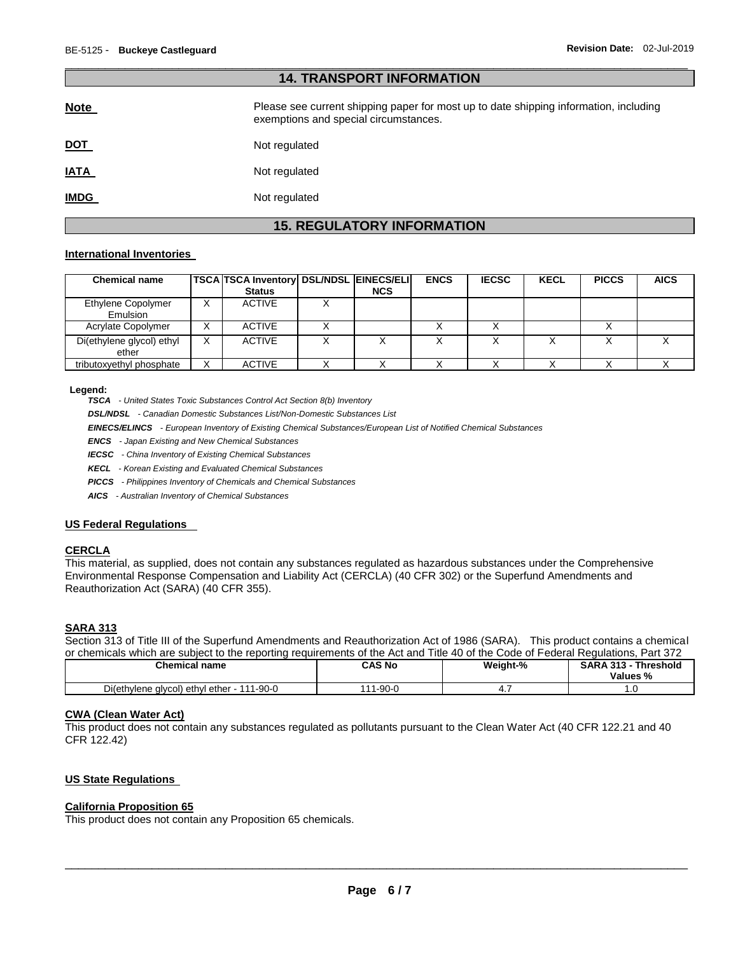| <b>14. TRANSPORT INFORMATION</b> |                                                                                                                                |  |
|----------------------------------|--------------------------------------------------------------------------------------------------------------------------------|--|
| <b>Note</b>                      | Please see current shipping paper for most up to date shipping information, including<br>exemptions and special circumstances. |  |
| <u>DOT</u>                       | Not regulated                                                                                                                  |  |
| <b>IATA</b>                      | Not regulated                                                                                                                  |  |
| <b>IMDG</b>                      | Not regulated                                                                                                                  |  |

\_\_\_\_\_\_\_\_\_\_\_\_\_\_\_\_\_\_\_\_\_\_\_\_\_\_\_\_\_\_\_\_\_\_\_\_\_\_\_\_\_\_\_\_\_\_\_\_\_\_\_\_\_\_\_\_\_\_\_\_\_\_\_\_\_\_\_\_\_\_\_\_\_\_\_\_\_\_\_\_\_\_\_\_\_\_\_\_\_\_\_\_\_

# **15. REGULATORY INFORMATION**

#### **International Inventories**

| <b>Chemical name</b>               |   | <b>TSCA TSCA Inventory DSL/NDSL EINECS/ELI</b><br><b>Status</b> | <b>NCS</b> | <b>ENCS</b> | <b>IECSC</b> | <b>KECL</b> | <b>PICCS</b> | <b>AICS</b> |
|------------------------------------|---|-----------------------------------------------------------------|------------|-------------|--------------|-------------|--------------|-------------|
| Ethylene Copolymer<br>Emulsion     | x | <b>ACTIVE</b>                                                   |            |             |              |             |              |             |
| Acrylate Copolymer                 | v | <b>ACTIVE</b>                                                   |            |             |              |             |              |             |
| Di(ethylene glycol) ethyl<br>ether | X | <b>ACTIVE</b>                                                   |            |             |              |             |              |             |
| tributoxyethyl phosphate           | х | <b>ACTIVE</b>                                                   |            |             |              |             |              |             |

#### **Legend:**

*TSCA - United States Toxic Substances Control Act Section 8(b) Inventory* 

*DSL/NDSL - Canadian Domestic Substances List/Non-Domestic Substances List* 

*EINECS/ELINCS - European Inventory of Existing Chemical Substances/European List of Notified Chemical Substances* 

*ENCS - Japan Existing and New Chemical Substances* 

*IECSC - China Inventory of Existing Chemical Substances* 

*KECL - Korean Existing and Evaluated Chemical Substances* 

*PICCS - Philippines Inventory of Chemicals and Chemical Substances* 

*AICS - Australian Inventory of Chemical Substances* 

#### **US Federal Regulations**

#### **CERCLA**

This material, as supplied, does not contain any substances regulated as hazardous substances under the Comprehensive Environmental Response Compensation and Liability Act (CERCLA) (40 CFR 302) or the Superfund Amendments and Reauthorization Act (SARA) (40 CFR 355).

#### **SARA 313**

Section 313 of Title III of the Superfund Amendments and Reauthorization Act of 1986 (SARA). This product contains a chemical or chemicals which are subject to the reporting requirements of the Act and Title 40 of the Code of Federal Regulations, Part 372

| <b>Chemical name</b>                            | <b>CAS No</b> | Weight-% | <b>SARA 313 -</b><br>Threshold<br>Values % |
|-------------------------------------------------|---------------|----------|--------------------------------------------|
| Di(ethylene glycol) ethyl ether - 1<br>111-90-0 | 1-90-0        | <b></b>  | $\cdot\cdot$                               |

#### **CWA (Clean Water Act)**

This product does not contain any substances regulated as pollutants pursuant to the Clean Water Act (40 CFR 122.21 and 40 CFR 122.42)

#### **US State Regulations**

#### **California Proposition 65**

This product does not contain any Proposition 65 chemicals.